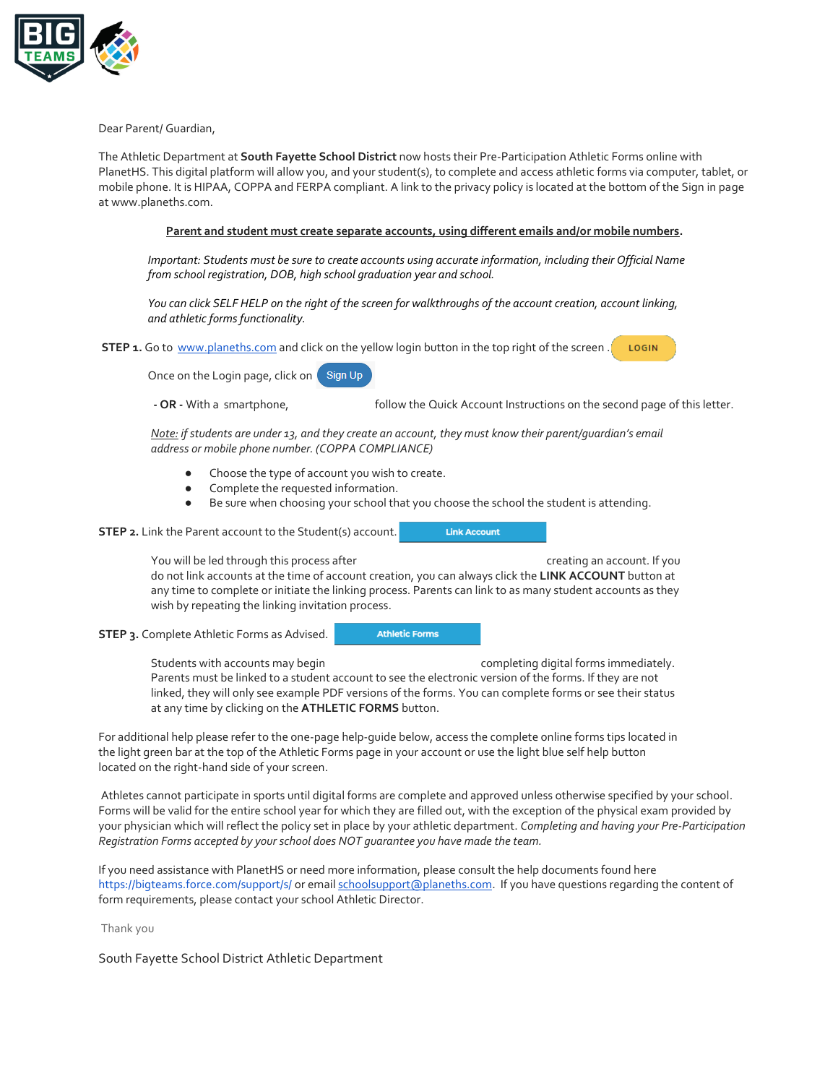

Dear Parent/ Guardian,

The Athletic Department at **South Fayette School District** now hosts their Pre-Participation Athletic Forms online with PlanetHS. This digital platform will allow you, and your student(s), to complete and access athletic forms via computer, tablet, or mobile phone. It is HIPAA, COPPA and FERPA compliant. A link to the privacy policy is located at the bottom of the Sign in page at www.planeths.com.

## **Parent and student must create separate accounts, using different emails and/or mobile numbers.**

*Important: Students must be sure to create accounts using accurate information, including their Official Name from school registration, DOB, high school graduation year and school.* 

*You can click SELF HELP on the right of the screen for walkthroughs of the account creation, account linking, and athletic forms functionality.*

**STEP 1.** Go to [www.planeths.com](https://www.planeths.com/) and click on the yellow login button in the top right of the screen. LOGIN

Once on the Login page, click on Sign Up

**- OR -** With a smartphone, follow the Quick Account Instructions on the second page of this letter.

**Link Account** 

*Note: if students are under 13, and they create an account, they must know their parent/guardian's email address or mobile phone number. (COPPA COMPLIANCE)*

- Choose the type of account you wish to create.
- Complete the requested information.
- Be sure when choosing your school that you choose the school the student is attending.

**STEP 2.** Link the Parent account to the Student(s) account.

You will be led through this process after creating an account. If you do not link accounts at the time of account creation, you can always click the **LINK ACCOUNT** button at any time to complete or initiate the linking process. Parents can link to as many student accounts as they wish by repeating the linking invitation process.

**STEP 3.** Complete Athletic Forms as Advised.

**Athletic Forms** 

Students with accounts may begin example that completing digital forms immediately. Parents must be linked to a student account to see the electronic version of the forms. If they are not linked, they will only see example PDF versions of the forms. You can complete forms or see their status at any time by clicking on the **ATHLETIC FORMS** button.

For additional help please refer to the one-page help-guide below, access the complete online forms tips located in the light green bar at the top of the Athletic Forms page in your account or use the light blue self help button located on the right-hand side of your screen.

Athletes cannot participate in sports until digital forms are complete and approved unless otherwise specified by your school. Forms will be valid for the entire school year for which they are filled out, with the exception of the physical exam provided by your physician which will reflect the policy set in place by your athletic department. *Completing and having your Pre-Participation Registration Forms accepted by your school does NOT guarantee you have made the team.*

If you need assistance with PlanetHS or need more information, please consult the help documents found here <https://bigteams.force.com/support/s/> or emai[l schoolsupport@planeths.com.](mailto:schoolsupport@planeths.com) If you have questions regarding the content of form requirements, please contact your school Athletic Director.

Thank you

South Fayette School District Athletic Department